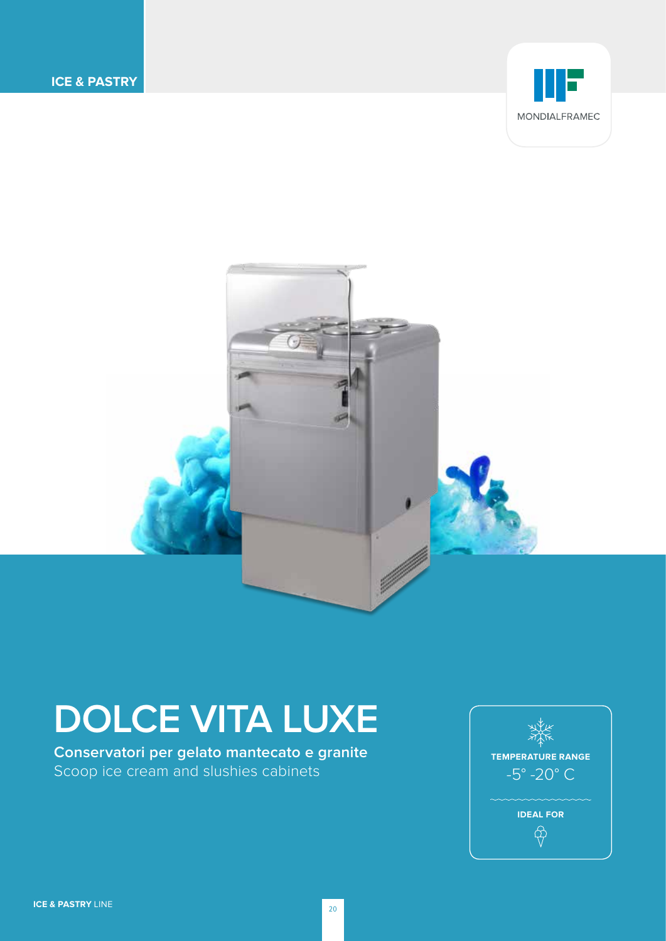



# **DOLCE VITA LUXE**

**Conservatori per gelato mantecato e granite**  Scoop ice cream and slushies cabinets